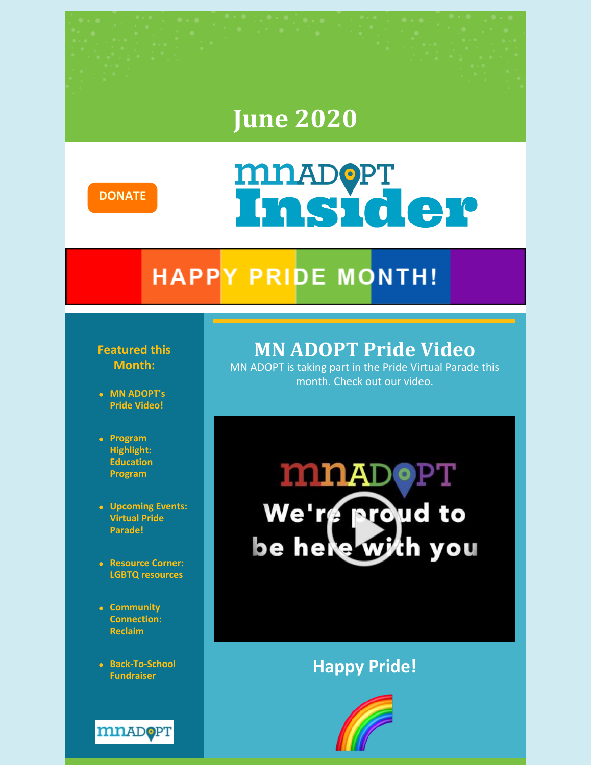## **June 2020**



# **MIADOPT** sider

# **HAPPY PRIDE MONTH!**

#### **Featured this Month:**

- **MN ADOPT's Pride Video!**
- **Program Highlight: Education Program**
- **Upcoming Events: Virtual Pride Parade!**
- **Resource Corner: LGBTQ resources**
- **Community Connection: Reclaim**
- **Back-To-School Fundraiser**

## **mnADOPT**

## **MN ADOPT Pride Video**

MN ADOPT is taking part in the Pride Virtual Parade this month. Check out our video.

## **MIADOPT** We're proud to with you be hele

### **Happy Pride!**

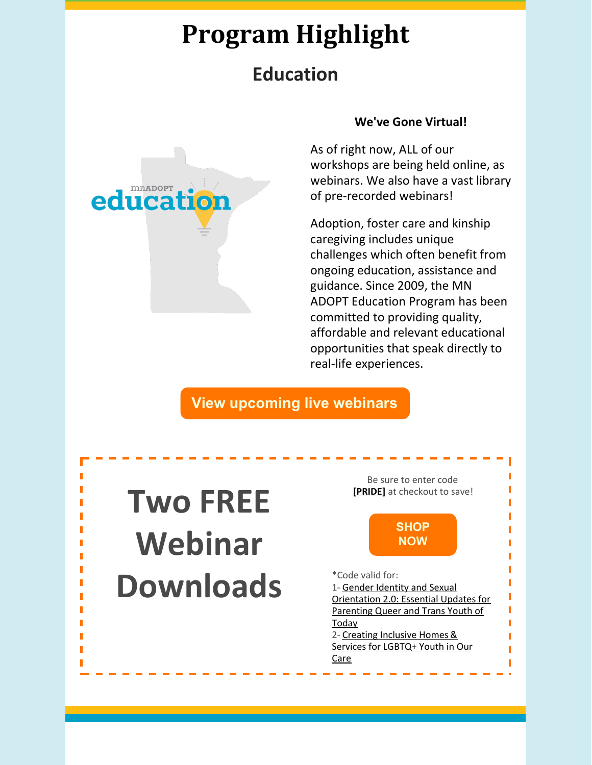## **Program Highlight**

## **Education**



#### **We've Gone Virtual!**

As of right now, ALL of our workshops are being held online, as webinars. We also have a vast library of pre-recorded webinars!

Adoption, foster care and kinship caregiving includes unique challenges which often benefit from ongoing education, assistance and guidance. Since 2009, the MN ADOPT Education Program has been committed to providing quality, affordable and relevant educational opportunities that speak directly to real-life experiences.

### **View [upcoming](https://education.mnadopt.org/v2/?c=events) live webinars**

# **Two FREE Webinar Downloads**

Be sure to enter code **[\[PRIDE\]](https://www.mnadopt.org/education/webinar-library/)** at checkout to save!

п

**[SHOP](https://www.mnadopt.org/education/webinar-library/) NOW**

\*Code valid for: 1- Gender Identity and Sexual [Orientation](https://www.mnadopt.org/product/20180613-webinar-gender-identity-and-sexual-orientation-2-0/) 2.0: Essential Updates for Parenting Queer and Trans Youth of **Today** 2- Creating [Inclusive](https://www.mnadopt.org/product/creating-inclusive-homes-services-for-lgbtq-youth-in-our-care/) Homes & Services for LGBTQ+ Youth in Our Care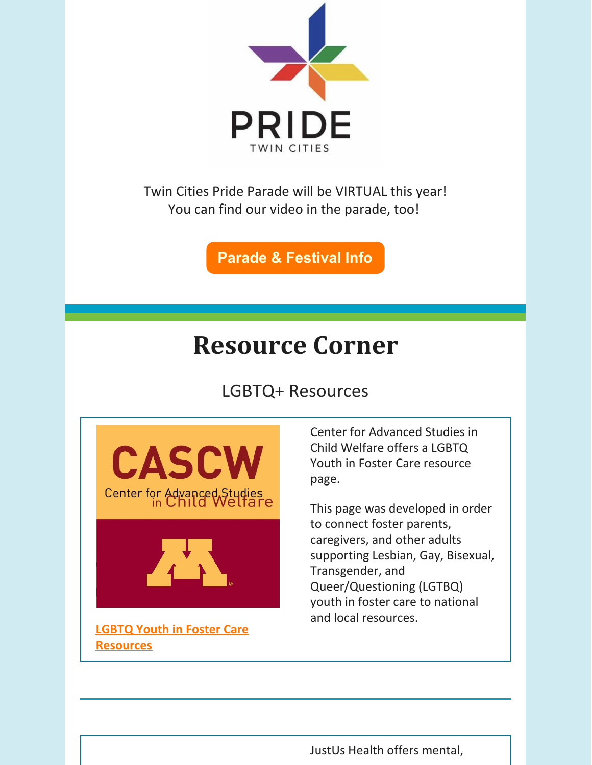

Twin Cities Pride Parade will be VIRTUAL this year! You can find our video in the parade, too!

**Parade & [Festival](https://tcpride.org/general-information/) Info**

## **Resource Corner**

### LGBTQ+ Resources



**LGBTQ Youth in Foster Care [Resources](https://cascw.umn.edu/lgbtq-youth-in-foster-care-2/)**

Center for Advanced Studies in Child Welfare offers a LGBTQ Youth in Foster Care resource page.

This page was developed in order to connect foster parents, caregivers, and other adults supporting Lesbian, Gay, Bisexual, Transgender, and Queer/Questioning (LGTBQ) youth in foster care to national and local resources.

JustUs Health offers mental,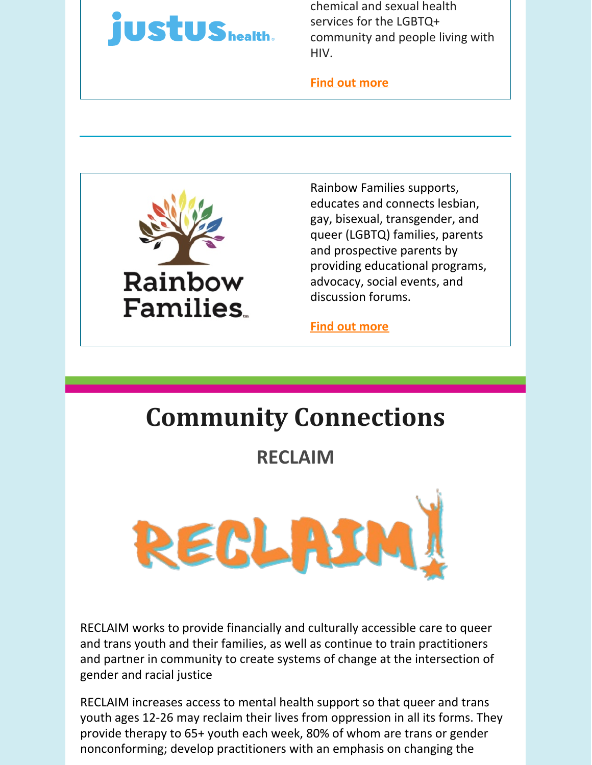

chemical and sexual health services for the LGBTQ+ community and people living with HIV.

#### **Find out [more](https://www.justushealth.org/)**



Rainbow Families supports, educates and connects lesbian, gay, bisexual, transgender, and queer (LGBTQ) families, parents and prospective parents by providing educational programs, advocacy, social events, and discussion forums.

#### **Find out [more](https://rainbowfamilies.wildapricot.org/)**

# **Community Connections**

**RECLAIM**



RECLAIM works to provide financially and culturally accessible care to queer and trans youth and their families, as well as continue to train practitioners and partner in community to create systems of change at the intersection of gender and racial justice

RECLAIM increases access to mental health support so that queer and trans youth ages 12-26 may reclaim their lives from oppression in all its forms. They provide therapy to 65+ youth each week, 80% of whom are trans or gender nonconforming; develop practitioners with an emphasis on changing the